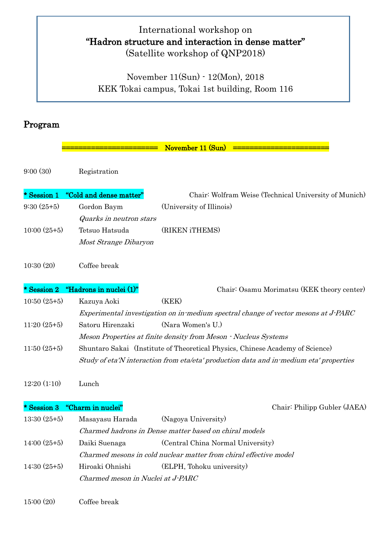## International workshop on "Hadron structure and interaction in dense matter" (Satellite workshop of QNP2018)

November 11(Sun) - 12(Mon), 2018 KEK Tokai campus, Tokai 1st building, Room 116

## Program

|               |                                   | November 11 (Sun)                                                                      |
|---------------|-----------------------------------|----------------------------------------------------------------------------------------|
| 9:00(30)      | Registration                      |                                                                                        |
| * Session 1   | "Cold and dense matter"           | Chair: Wolfram Weise (Technical University of Munich)                                  |
| $9:30(25+5)$  | Gordon Baym                       | (University of Illinois)                                                               |
|               | Quarks in neutron stars           |                                                                                        |
| $10:00(25+5)$ | Tetsuo Hatsuda                    | (RIKEN iTHEMS)                                                                         |
|               | Most Strange Dibaryon             |                                                                                        |
| 10:30(20)     | Coffee break                      |                                                                                        |
| * Session 2   | "Hadrons in nuclei (1)"           | Chair: Osamu Morimatsu (KEK theory center)                                             |
| $10:50(25+5)$ | Kazuya Aoki                       | (KEK)                                                                                  |
|               |                                   | Experimental investigation on in medium spectral change of vector mesons at J-PARC     |
| $11:20(25+5)$ | Satoru Hirenzaki                  | (Nara Women's U.)                                                                      |
|               |                                   | Meson Properties at finite density from Meson • Nucleus Systems                        |
| $11:50(25+5)$ |                                   | Shuntaro Sakai (Institute of Theoretical Physics, Chinese Academy of Science)          |
|               |                                   | Study of eta'N interaction from eta/eta' production data and in-medium eta' properties |
| 12:20(1:10)   | Lunch                             |                                                                                        |
| * Session 3   | "Charm in nuclei"                 | Chair: Philipp Gubler (JAEA)                                                           |
| $13:30(25+5)$ | Masayasu Harada                   | (Nagoya University)                                                                    |
|               |                                   | Charmed hadrons in Dense matter based on chiral models                                 |
| $14:00(25+5)$ | Daiki Suenaga                     | (Central China Normal University)                                                      |
|               |                                   | Charmed mesons in cold nuclear matter from chiral effective model                      |
| $14:30(25+5)$ | Hiroaki Ohnishi                   | (ELPH, Tohoku university)                                                              |
|               | Charmed meson in Nuclei at J-PARC |                                                                                        |
| 15:00(20)     | Coffee break                      |                                                                                        |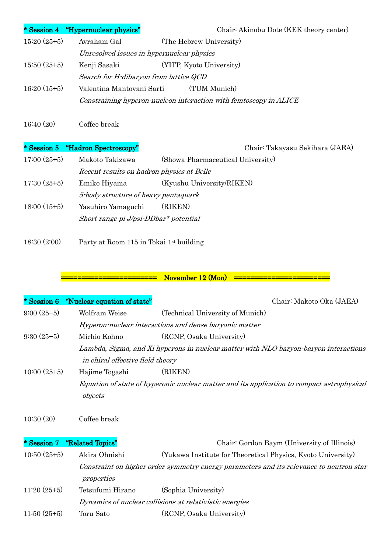|               | * Session 4 "Hypernuclear physics"        | Chair: Akinobu Dote (KEK theory center)                           |
|---------------|-------------------------------------------|-------------------------------------------------------------------|
| $15:20(25+5)$ | Avraham Gal                               | (The Hebrew University)                                           |
|               | Unresolved issues in hypernuclear physics |                                                                   |
| $15:50(25+5)$ | Kenji Sasaki                              | (YITP, Kyoto University)                                          |
|               | Search for H-dibaryon from lattice QCD    |                                                                   |
| $16:20(15+5)$ | Valentina Mantovani Sarti                 | (TUM Munich)                                                      |
|               |                                           | Constraining hyperon-nucleon interaction with femtoscopy in ALICE |
|               |                                           |                                                                   |

16:40 (20) Coffee break

\* Session 5 "Hadron Spectroscopy" Chair: Takayasu Sekihara (JAEA)

| $17:00(25+5)$ | Makoto Takizawa                           | (Showa Pharmaceutical University) |
|---------------|-------------------------------------------|-----------------------------------|
|               | Recent results on hadron physics at Belle |                                   |
| $17:30(25+5)$ | Emiko Hiyama                              | (Kyushu University/RIKEN)         |
|               | 5-body structure of heavy pentaquark      |                                   |
| $18:00(15+5)$ | Yasuhiro Yamaguchi                        | (RIKEN)                           |
|               | Short range pi $J/psi$ -DDbar* potential  |                                   |
|               |                                           |                                   |

18:30 (2:00) Party at Room 115 in Tokai 1st building

## ======================= November 12 (Mon) =======================

|               | * Session 6 "Nuclear equation of state" | Chair: Makoto Oka (JAEA)                                                                   |
|---------------|-----------------------------------------|--------------------------------------------------------------------------------------------|
| $9:00(25+5)$  | Wolfram Weise                           | (Technical University of Munich)                                                           |
|               |                                         | Hyperon-nuclear interactions and dense baryonic matter                                     |
| $9:30(25+5)$  | Michio Kohno                            | (RCNP, Osaka University)                                                                   |
|               |                                         | Lambda, Sigma, and Xi hyperons in nuclear matter with NLO baryon baryon interactions       |
|               | in chiral effective field theory        |                                                                                            |
| $10:00(25+5)$ | Hajime Togashi                          | (RIKEN)                                                                                    |
|               |                                         | Equation of state of hyperonic nuclear matter and its application to compact astrophysical |
|               | objects                                 |                                                                                            |
|               |                                         |                                                                                            |

10:30 (20) Coffee break

|               | * Session 7 "Related Topics" | Chair: Gordon Baym (University of Illinois)                                             |
|---------------|------------------------------|-----------------------------------------------------------------------------------------|
| $10:50(25+5)$ | Akira Ohnishi                | (Yukawa Institute for Theoretical Physics, Kyoto University)                            |
|               |                              | Constraint on higher order symmetry energy parameters and its relevance to neutron star |
|               | properties                   |                                                                                         |
| $11:20(25+5)$ | Tetsufumi Hirano             | (Sophia University)                                                                     |
|               |                              | Dynamics of nuclear collisions at relativistic energies                                 |
| $11:50(25+5)$ | Toru Sato                    | (RCNP, Osaka University)                                                                |